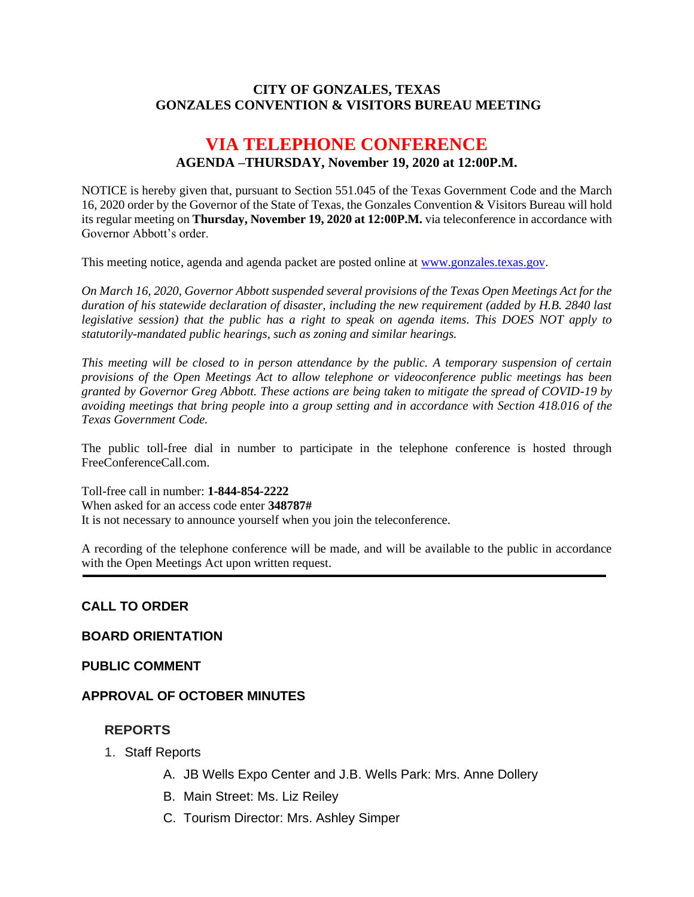#### **CITY OF GONZALES, TEXAS GONZALES CONVENTION & VISITORS BUREAU MEETING**

# **VIA TELEPHONE CONFERENCE AGENDA –THURSDAY, November 19, 2020 at 12:00P.M.**

NOTICE is hereby given that, pursuant to Section 551.045 of the Texas Government Code and the March 16, 2020 order by the Governor of the State of Texas, the Gonzales Convention & Visitors Bureau will hold its regular meeting on **Thursday, November 19, 2020 at 12:00P.M.** via teleconference in accordance with Governor Abbott's order.

This meeting notice, agenda and agenda packet are posted online at [www.gonzales.texas.gov.](http://www.gonzales.texas.gov/)

*On March 16, 2020, Governor Abbott suspended several provisions of the Texas Open Meetings Act for the duration of his statewide declaration of disaster, including the new requirement (added by H.B. 2840 last legislative session) that the public has a right to speak on agenda items. This DOES NOT apply to statutorily-mandated public hearings, such as zoning and similar hearings.* 

*This meeting will be closed to in person attendance by the public. A temporary suspension of certain provisions of the Open Meetings Act to allow telephone or videoconference public meetings has been granted by Governor Greg Abbott. These actions are being taken to mitigate the spread of COVID-19 by avoiding meetings that bring people into a group setting and in accordance with Section 418.016 of the Texas Government Code.*

The public toll-free dial in number to participate in the telephone conference is hosted through FreeConferenceCall.com.

Toll-free call in number: **1-844-854-2222**

When asked for an access code enter **348787#**

It is not necessary to announce yourself when you join the teleconference.

A recording of the telephone conference will be made, and will be available to the public in accordance with the Open Meetings Act upon written request.

## **CALL TO ORDER**

#### **BOARD ORIENTATION**

#### **PUBLIC COMMENT**

#### **APPROVAL OF OCTOBER MINUTES**

#### **REPORTS**

- 1. Staff Reports
	- A. JB Wells Expo Center and J.B. Wells Park: Mrs. Anne Dollery
	- B. Main Street: Ms. Liz Reiley
	- C. Tourism Director: Mrs. Ashley Simper